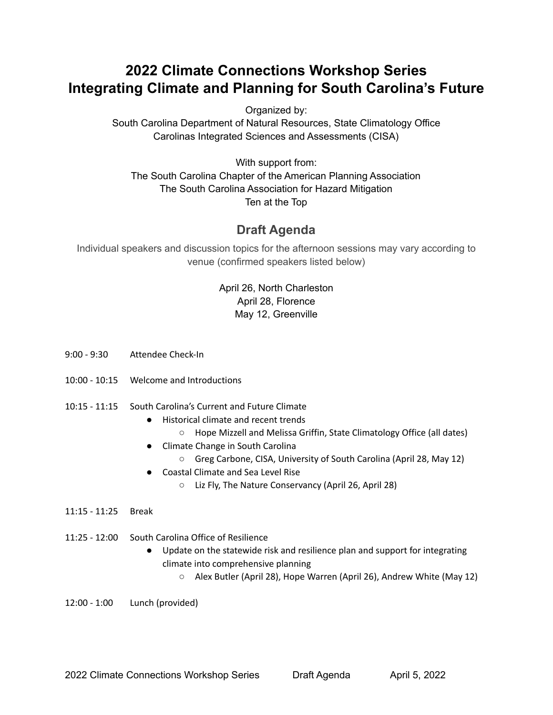## **2022 Climate Connections Workshop Series Integrating Climate and Planning for South Carolina's Future**

Organized by:

South Carolina Department of Natural Resources, State Climatology Office Carolinas Integrated Sciences and Assessments (CISA)

With support from: The South Carolina Chapter of the American Planning Association The South Carolina Association for Hazard Mitigation Ten at the Top

## **Draft Agenda**

Individual speakers and discussion topics for the afternoon sessions may vary according to venue (confirmed speakers listed below)

## April 26, North Charleston April 28, Florence May 12, Greenville

- 9:00 9:30 Attendee Check-In
- 10:00 10:15 Welcome and Introductions
- 10:15 11:15 South Carolina's Current and Future Climate
	- Historical climate and recent trends
		- Hope Mizzell and Melissa Griffin, State Climatology Office (all dates)
	- Climate Change in South Carolina
		- Greg Carbone, CISA, University of South Carolina (April 28, May 12)
	- Coastal Climate and Sea Level Rise
		- Liz Fly, The Nature Conservancy (April 26, April 28)
- 11:15 11:25 Break
- 11:25 12:00 South Carolina Office of Resilience
	- Update on the statewide risk and resilience plan and support for integrating climate into comprehensive planning
		- Alex Butler (April 28), Hope Warren (April 26), Andrew White (May 12)

12:00 - 1:00 Lunch (provided)